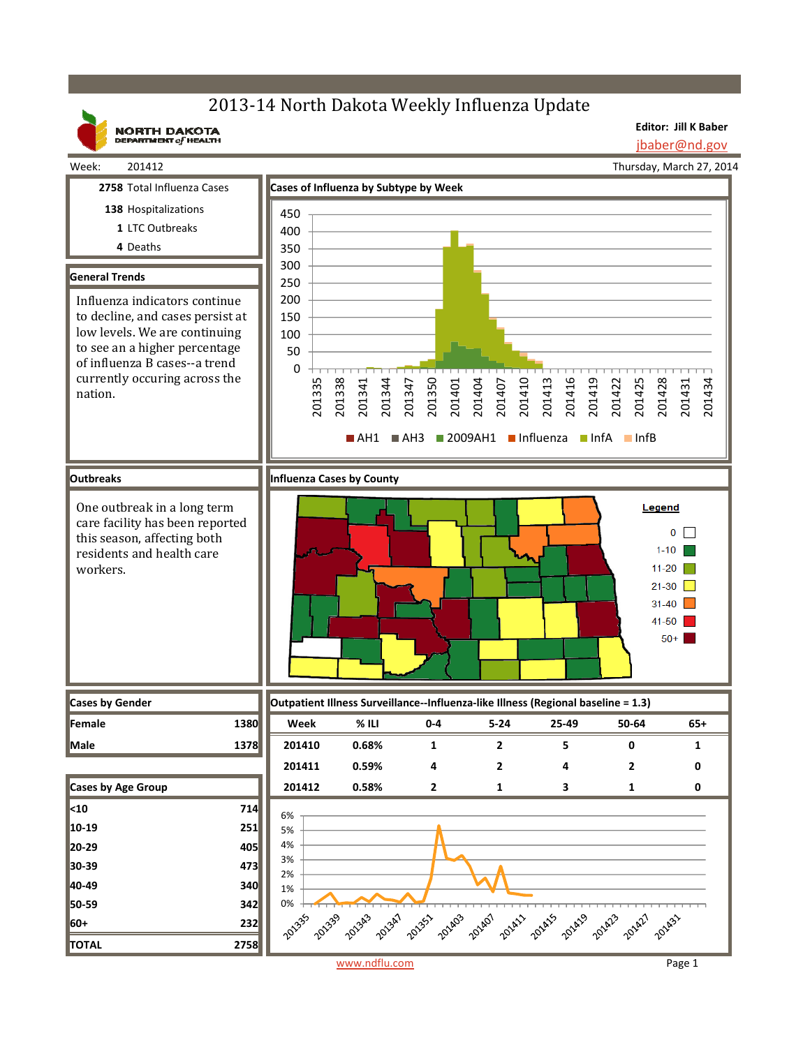# 2013-14 North Dakota Weekly Influenza Update

**NORTH DAKOTA**<br>DEPARTMENT of HEALTH

**Editor: Jill K Baber** jbaber@nd.gov